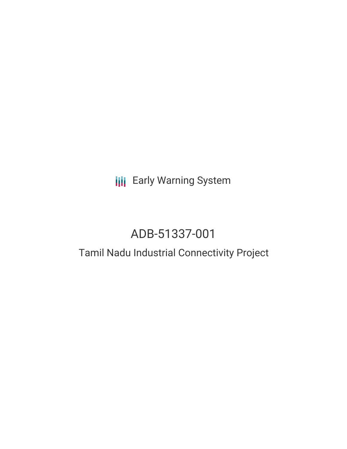## **III** Early Warning System

# ADB-51337-001

### Tamil Nadu Industrial Connectivity Project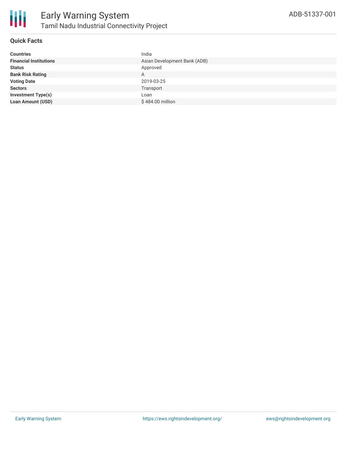

#### **Quick Facts**

| <b>Countries</b>              | India                        |
|-------------------------------|------------------------------|
| <b>Financial Institutions</b> | Asian Development Bank (ADB) |
| <b>Status</b>                 | Approved                     |
| <b>Bank Risk Rating</b>       | A                            |
| <b>Voting Date</b>            | 2019-03-25                   |
| <b>Sectors</b>                | Transport                    |
| <b>Investment Type(s)</b>     | Loan                         |
| <b>Loan Amount (USD)</b>      | \$484.00 million             |
|                               |                              |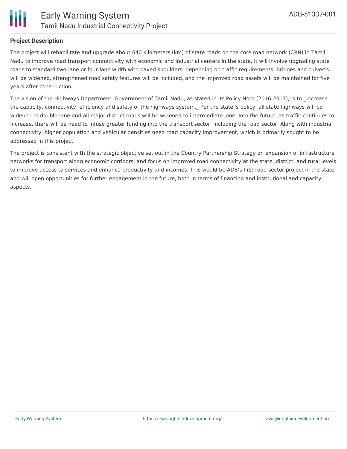

#### **Project Description**

The project will rehabilitate and upgrade about 640 kilometers (km) of state roads on the core road network (CRN) in Tamil Nadu to improve road transport connectivity with economic and industrial centers in the state. It will involve upgrading state roads to standard two-lane or four-lane width with paved shoulders, depending on traffic requirements. Bridges and culverts will be widened, strengthened road safety features will be included, and the improved road assets will be maintained for five years after construction.

The vision of the Highways Department, Government of Tamil Nadu, as stated in its Policy Note (2016-2017), is to increase the capacity, connectivity, efficiency and safety of the highways system. Per the state''s policy, all state highways will be widened to double-lane and all major district roads will be widened to intermediate lane. Into the future, as traffic continues to increase, there will be need to infuse greater funding into the transport sector, including the road sector. Along with industrial connectivity, higher population and vehicular densities need road capacity improvement, which is primarily sought to be addressed in this project.

The project is consistent with the strategic objective set out in the Country Partnership Strategy on expansion of infrastructure networks for transport along economic corridors, and focus on improved road connectivity at the state, district, and rural levels to improve access to services and enhance productivity and incomes. This would be ADB's first road sector project in the state, and will open opportunities for further engagement in the future, both in terms of financing and institutional and capacity aspects.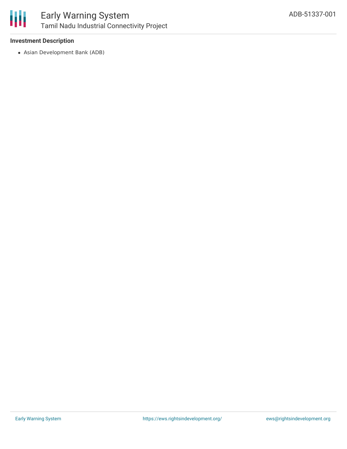

#### **Investment Description**

Asian Development Bank (ADB)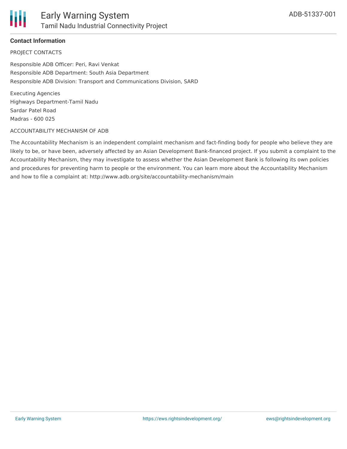

#### **Contact Information**

PROJECT CONTACTS

Responsible ADB Officer: Peri, Ravi Venkat Responsible ADB Department: South Asia Department Responsible ADB Division: Transport and Communications Division, SARD

Executing Agencies Highways Department-Tamil Nadu Sardar Patel Road Madras - 600 025

#### ACCOUNTABILITY MECHANISM OF ADB

The Accountability Mechanism is an independent complaint mechanism and fact-finding body for people who believe they are likely to be, or have been, adversely affected by an Asian Development Bank-financed project. If you submit a complaint to the Accountability Mechanism, they may investigate to assess whether the Asian Development Bank is following its own policies and procedures for preventing harm to people or the environment. You can learn more about the Accountability Mechanism and how to file a complaint at: http://www.adb.org/site/accountability-mechanism/main